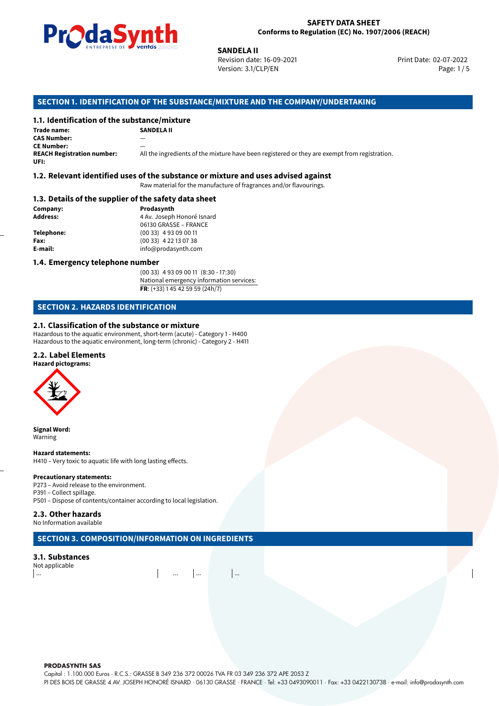

Revision date: 16-09-2021 Version: 3.1/CLP/EN Page: 1 / 5

Print Date: 02-07-2022

# **SANDELA II**<br>
Revision date<br>
Version: 3.1/<br> **OF THE SUBSTANCE/MIXTURE AN<br>
tance/mixture<br>
SANDELA II SECTION 1. IDENTIFICATION OF THE SUBSTANCE/MIXTURE AND THE COMPANY/UNDERTAKING**

## **1.1. Identification of the substance/mixture**

**Trade name: CAS Number:** — **CE Number: REACH Registration number:** All the ingredients of the mixture have been registered or they are exempt from registration. **UFI:**

#### **1.2. Relevant identified uses of the substance or mixture and uses advised against**

Raw material for the manufacture of fragrances and/or flavourings.

#### **1.3. Details of the supplier of the safety data sheet**

| Company:          | Prodasynth                 |  |
|-------------------|----------------------------|--|
| <b>Address:</b>   | 4 Av. Joseph Honoré Isnard |  |
|                   | 06130 GRASSE - FRANCE      |  |
| <b>Telephone:</b> | $(0033)$ 4 93 09 00 11     |  |
| Fax:              | $(0033)$ 4 22 13 07 38     |  |
| E-mail:           | info@prodasynth.com        |  |
|                   |                            |  |

#### **1.4. Emergency telephone number**

(00 33) 4 93 09 00 11 (8:30 - 17:30) National emergency information services: **FR**: (+33) 1 45 42 59 59 (24h/7)

#### **SECTION 2. HAZARDS IDENTIFICATION**

#### **2.1. Classification of the substance or mixture**

Hazardous to the aquatic environment, short-term (acute) - Category 1 - H400 Hazardous to the aquatic environment, long-term (chronic) - Category 2 - H411

#### **2.2. Label Elements**

**Hazard pictograms:**



**Signal Word:** Warning

#### **Hazard statements:**

H410 – Very toxic to aquatic life with long lasting effects.

#### **Precautionary statements:**

P273 – Avoid release to the environment. P391 – Collect spillage. P501 – Dispose of contents/container according to local legislation.

#### **2.3. Other hazards**

No Information available

## **SECTION 3. COMPOSITION/INFORMATION ON INGREDIENTS**

#### **3.1. Substances**

Not applicable ... ... ... ...

**PRODASYNTH SAS** 

Capital : 1.100.000 Euros · R.C.S.: GRASSE B 349 236 372 00026 TVA FR 03 349 236 372 APE 2053 Z

PI DES BOIS DE GRASSE 4 AV. JOSEPH HONORÉ ISNARD · 06130 GRASSE · FRANCE · Tel: +33 0493090011 · Fax: +33 0422130738 · e-mail: info@prodasynth.com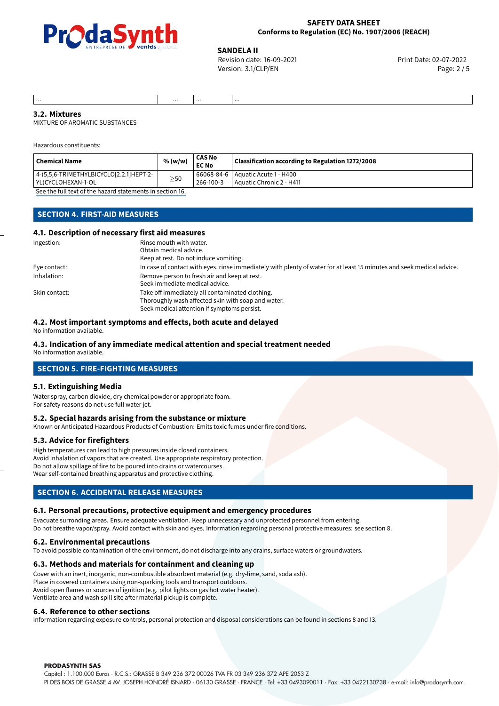

#### **SAFETY DATA SHEET Conforms to Regulation (EC) No. 1907/2006 (REACH)**

**SANDELA II**<br>
Revision date: 16-09-2021 **And Case of Case of Case of Print Date: 02-07-2022** Version: 3.1/CLP/EN Page: 2 / 5

#### ... ... ... ... **3.2. Mixtures**

MIXTURE OF AROMATIC SUBSTANCES

Hazardous constituents:

| <b>Chemical Name</b>                                                              | % (w/w)   | CAS No<br><b>EC No</b> | Classification according to Regulation 1272/2008                  |
|-----------------------------------------------------------------------------------|-----------|------------------------|-------------------------------------------------------------------|
| $ $ 4-(5,5,6-TRIMETHYLBICYCLO[2.2.1]HEPT-2-<br>l YL)CYCLOHEXAN-1-OL               | $\geq$ 50 | 266-100-3              | 66068-84-6   Aquatic Acute 1 - H400<br>l Aquatic Chronic 2 - H411 |
| $\sigma$ and the full term of the leadership terms and the transition of $\sigma$ |           |                        |                                                                   |

[See the full text of the hazard statements in section 16.](#page-4-0)

#### **SECTION 4. FIRST-AID MEASURES**

#### **4.1. Description of necessary first aid measures**

| Ingestion:    | Rinse mouth with water.<br>Obtain medical advice.<br>Keep at rest. Do not induce vomiting.                                                           |
|---------------|------------------------------------------------------------------------------------------------------------------------------------------------------|
| Eye contact:  | In case of contact with eyes, rinse immediately with plenty of water for at least 15 minutes and seek medical advice.                                |
| Inhalation:   | Remove person to fresh air and keep at rest.<br>Seek immediate medical advice.                                                                       |
| Skin contact: | Take off immediately all contaminated clothing.<br>Thoroughly wash affected skin with soap and water.<br>Seek medical attention if symptoms persist. |

#### **4.2. Most important symptoms and effects, both acute and delayed**

No information available.

#### **4.3. Indication of any immediate medical attention and special treatment needed**

No information available.

#### **SECTION 5. FIRE-FIGHTING MEASURES**

#### **5.1. Extinguishing Media**

Water spray, carbon dioxide, dry chemical powder or appropriate foam. For safety reasons do not use full water jet.

#### **5.2. Special hazards arising from the substance or mixture**

Known or Anticipated Hazardous Products of Combustion: Emits toxic fumes under fire conditions.

#### **5.3. Advice for firefighters**

High temperatures can lead to high pressures inside closed containers. Avoid inhalation of vapors that are created. Use appropriate respiratory protection. Do not allow spillage of fire to be poured into drains or watercourses. Wear self-contained breathing apparatus and protective clothing.

#### **SECTION 6. ACCIDENTAL RELEASE MEASURES**

#### **6.1. Personal precautions, protective equipment and emergency procedures**

Evacuate surronding areas. Ensure adequate ventilation. Keep unnecessary and unprotected personnel from entering. Do not breathe vapor/spray. Avoid contact with skin and eyes. Information regarding personal protective measures: see section 8.

#### **6.2. Environmental precautions**

To avoid possible contamination of the environment, do not discharge into any drains, surface waters or groundwaters.

#### **6.3. Methods and materials for containment and cleaning up**

Cover with an inert, inorganic, non-combustible absorbent material (e.g. dry-lime, sand, soda ash). Place in covered containers using non-sparking tools and transport outdoors. Avoid open flames or sources of ignition (e.g. pilot lights on gas hot water heater). Ventilate area and wash spill site after material pickup is complete.

#### **6.4. Reference to other sections**

Information regarding exposure controls, personal protection and disposal considerations can be found in sections 8 and 13.

#### **PRODASYNTH SAS**

Capital : 1.100.000 Euros · R.C.S.: GRASSE B 349 236 372 00026 TVA FR 03 349 236 372 APE 2053 Z PI DES BOIS DE GRASSE 4 AV. JOSEPH HONORÉ ISNARD · 06130 GRASSE · FRANCE · Tel: +33 0493090011 · Fax: +33 0422130738 · e-mail: info@prodasynth.com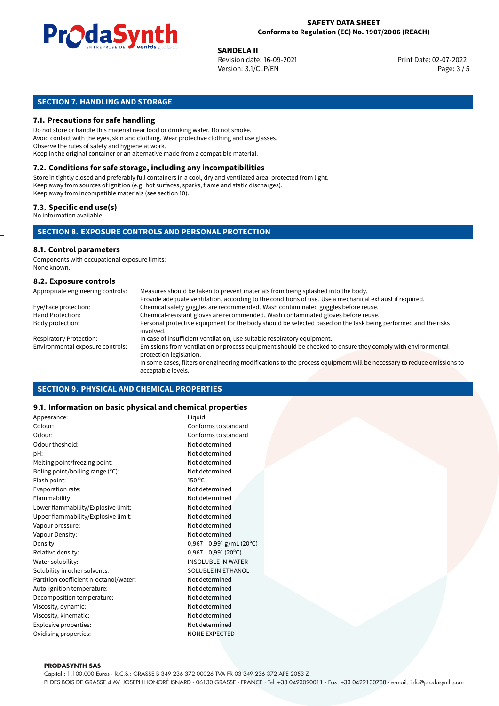

**SANDELA II**<br>
Revision date: 16-09-2021 **And Case of Case of Case of Print Date: 02-07-2022** Version: 3.1/CLP/EN Page: 3 / 5

## **SECTION 7. HANDLING AND STORAGE**

#### **7.1. Precautions for safe handling**

Do not store or handle this material near food or drinking water. Do not smoke. Avoid contact with the eyes, skin and clothing. Wear protective clothing and use glasses. Observe the rules of safety and hygiene at work. Keep in the original container or an alternative made from a compatible material.

## **7.2. Conditions for safe storage, including any incompatibilities**

Store in tightly closed and preferably full containers in a cool, dry and ventilated area, protected from light. Keep away from sources of ignition (e.g. hot surfaces, sparks, flame and static discharges). Keep away from incompatible materials (see section 10).

#### **7.3. Specific end use(s)**

No information available.

#### **SECTION 8. EXPOSURE CONTROLS AND PERSONAL PROTECTION**

#### **8.1. Control parameters**

Components with occupational exposure limits: None known.

#### **8.2. Exposure controls**

| Appropriate engineering controls: | Measures should be taken to prevent materials from being splashed into the body.                                                            |
|-----------------------------------|---------------------------------------------------------------------------------------------------------------------------------------------|
|                                   | Provide adequate ventilation, according to the conditions of use. Use a mechanical exhaust if required.                                     |
| Eye/Face protection:              | Chemical safety goggles are recommended. Wash contaminated goggles before reuse.                                                            |
| Hand Protection:                  | Chemical-resistant gloves are recommended. Wash contaminated gloves before reuse.                                                           |
| Body protection:                  | Personal protective equipment for the body should be selected based on the task being performed and the risks<br>involved.                  |
| <b>Respiratory Protection:</b>    | In case of insufficient ventilation, use suitable respiratory equipment.                                                                    |
| Environmental exposure controls:  | Emissions from ventilation or process equipment should be checked to ensure they comply with environmental<br>protection legislation.       |
|                                   | In some cases, filters or engineering modifications to the process equipment will be necessary to reduce emissions to<br>acceptable levels. |

#### **SECTION 9. PHYSICAL AND CHEMICAL PROPERTIES**

#### **9.1. Information on basic physical and chemical properties**

| Appearance:                            | Liquid                      |
|----------------------------------------|-----------------------------|
| Colour:                                | Conforms to standard        |
| Odour:                                 | Conforms to standard        |
| Odour theshold:                        | Not determined              |
| pH:                                    | Not determined              |
| Melting point/freezing point:          | Not determined              |
| Boling point/boiling range $(°C)$ :    | Not determined              |
| Flash point:                           | $150^{\circ}$ C             |
| Evaporation rate:                      | Not determined              |
| Flammability:                          | Not determined              |
| Lower flammability/Explosive limit:    | Not determined              |
| Upper flammability/Explosive limit:    | Not determined              |
| Vapour pressure:                       | Not determined              |
| Vapour Density:                        | Not determined              |
| Density:                               | $0,967 - 0,991$ g/mL (20°C) |
| Relative density:                      | $0,967 - 0,991(20°C)$       |
| Water solubility:                      | <b>INSOLUBLE IN WATER</b>   |
| Solubility in other solvents:          | <b>SOLUBLE IN ETHANOL</b>   |
| Partition coefficient n-octanol/water: | Not determined              |
| Auto-ignition temperature:             | Not determined              |
| Decomposition temperature:             | Not determined              |
| Viscosity, dynamic:                    | Not determined              |
| Viscosity, kinematic:                  | Not determined              |
| Explosive properties:                  | Not determined              |
| Oxidising properties:                  | <b>NONE EXPECTED</b>        |
|                                        |                             |

**PRODASYNTH SAS** 

Capital : 1.100.000 Euros · R.C.S.: GRASSE B 349 236 372 00026 TVA FR 03 349 236 372 APE 2053 Z PI DES BOIS DE GRASSE 4 AV. JOSEPH HONORÉ ISNARD · 06130 GRASSE · FRANCE · Tel: +33 0493090011 · Fax: +33 0422130738 · e-mail: info@prodasynth.com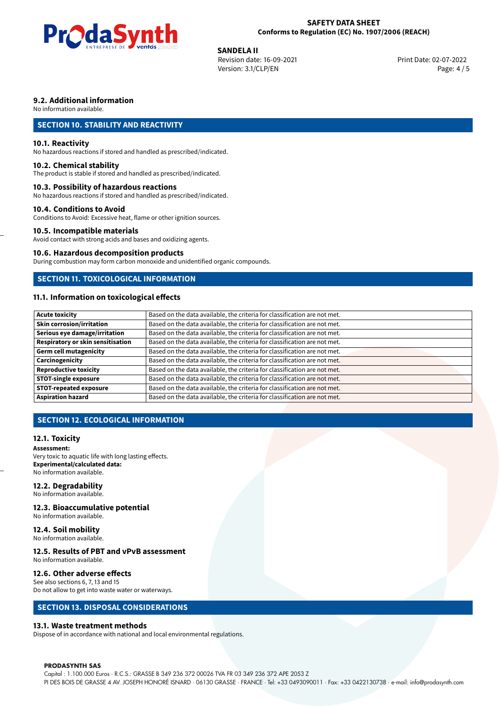

#### **SAFETY DATA SHEET Conforms to Regulation (EC) No. 1907/2006 (REACH)**

**SANDELA II**<br>
Revision date: 16-09-2021 **And Case of Case of Case of Print Date: 02-07-2022** Version: 3.1/CLP/EN Page: 4 / 5

#### **9.2. Additional information**

No information available.

#### **SECTION 10. STABILITY AND REACTIVITY**

#### **10.1. Reactivity**

No hazardous reactions if stored and handled as prescribed/indicated.

#### **10.2. Chemical stability**

The product is stable if stored and handled as prescribed/indicated.

#### **10.3. Possibility of hazardous reactions**

No hazardous reactions if stored and handled as prescribed/indicated.

#### **10.4. Conditions to Avoid**

Conditions to Avoid: Excessive heat, flame or other ignition sources.

#### **10.5. Incompatible materials**

Avoid contact with strong acids and bases and oxidizing agents.

#### **10.6. Hazardous decomposition products**

During combustion may form carbon monoxide and unidentified organic compounds.

#### **SECTION 11. TOXICOLOGICAL INFORMATION**

#### **11.1. Information on toxicological effects**

| <b>Acute toxicity</b>             | Based on the data available, the criteria for classification are not met. |
|-----------------------------------|---------------------------------------------------------------------------|
| Skin corrosion/irritation         | Based on the data available, the criteria for classification are not met. |
| Serious eye damage/irritation     | Based on the data available, the criteria for classification are not met. |
| Respiratory or skin sensitisation | Based on the data available, the criteria for classification are not met. |
| Germ cell mutagenicity            | Based on the data available, the criteria for classification are not met. |
| Carcinogenicity                   | Based on the data available, the criteria for classification are not met. |
| Reproductive toxicity             | Based on the data available, the criteria for classification are not met. |
| STOT-single exposure              | Based on the data available, the criteria for classification are not met. |
| <b>STOT-repeated exposure</b>     | Based on the data available, the criteria for classification are not met. |
| <b>Aspiration hazard</b>          | Based on the data available, the criteria for classification are not met. |

#### **SECTION 12. ECOLOGICAL INFORMATION**

#### **12.1. Toxicity**

**Assessment:** Very toxic to aquatic life with long lasting effects. **Experimental/calculated data:** No information available.

#### **12.2. Degradability**

No information available.

#### **12.3. Bioaccumulative potential**

No information available.

#### **12.4. Soil mobility**

No information available.

## **12.5. Results of PBT and vPvB assessment**

No information available.

#### **12.6. Other adverse effects**

See also sections 6, 7, 13 and 15 Do not allow to get into waste water or waterways.

#### **SECTION 13. DISPOSAL CONSIDERATIONS**

#### **13.1. Waste treatment methods**

Dispose of in accordance with national and local environmental regulations.

#### **PRODASYNTH SAS**

Capital : 1.100.000 Euros · R.C.S.: GRASSE B 349 236 372 00026 TVA FR 03 349 236 372 APE 2053 Z PI DES BOIS DE GRASSE 4 AV. JOSEPH HONORÉ ISNARD · 06130 GRASSE · FRANCE · Tel: +33 0493090011 · Fax: +33 0422130738 · e-mail: info@prodasynth.com